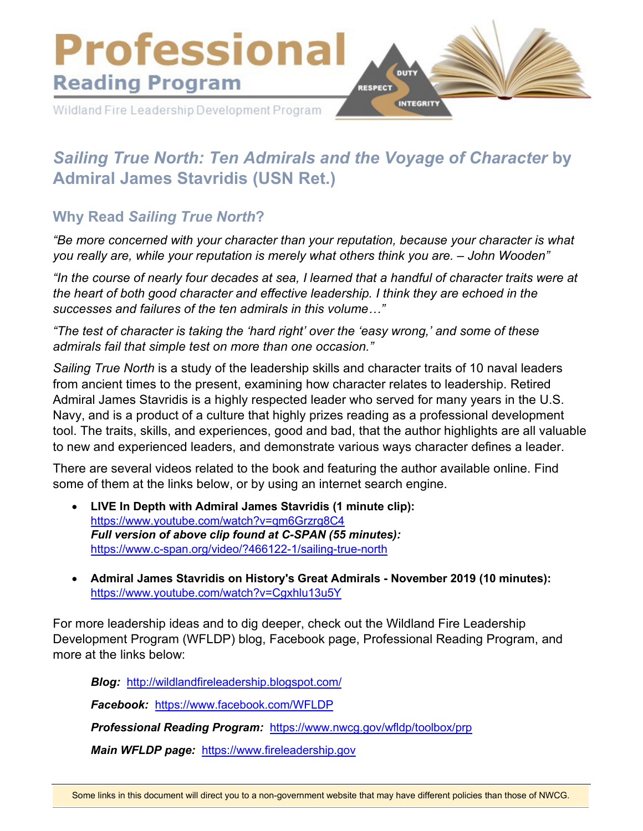

# *Sailing True North: Ten Admirals and the Voyage of Character* **by Admiral James Stavridis (USN Ret.)**

# **Why Read** *Sailing True North***?**

*"Be more concerned with your character than your reputation, because your character is what you really are, while your reputation is merely what others think you are. – John Wooden"* 

*"In the course of nearly four decades at sea, I learned that a handful of character traits were at the heart of both good character and effective leadership. I think they are echoed in the successes and failures of the ten admirals in this volume…"* 

*"The test of character is taking the 'hard right' over the 'easy wrong,' and some of these admirals fail that simple test on more than one occasion."* 

*Sailing True North* is a study of the leadership skills and character traits of 10 naval leaders from ancient times to the present, examining how character relates to leadership. Retired Admiral James Stavridis is a highly respected leader who served for many years in the U.S. Navy, and is a product of a culture that highly prizes reading as a professional development tool. The traits, skills, and experiences, good and bad, that the author highlights are all valuable to new and experienced leaders, and demonstrate various ways character defines a leader.

There are several videos related to the book and featuring the author available online. Find some of them at the links below, or by using an internet search engine.

- **LIVE In Depth with Admiral James Stavridis (1 minute clip):** <https://www.youtube.com/watch?v=qm6Grzrg8C4> *Full version of above clip found at C-SPAN (55 minutes):* <https://www.c-span.org/video/?466122-1/sailing-true-north>
- **Admiral James Stavridis on History's Great Admirals November 2019 (10 minutes):** <https://www.youtube.com/watch?v=Cgxhlu13u5Y>

For more leadership ideas and to dig deeper, check out the Wildland Fire Leadership Development Program (WFLDP) blog, Facebook page, Professional Reading Program, and more at the links below:

*Blog:* <http://wildlandfireleadership.blogspot.com/>

*Facebook:* <https://www.facebook.com/WFLDP>

*Professional Reading Program:* <https://www.nwcg.gov/wfldp/toolbox/prp>

*Main WFLDP page:* [https://www.fireleadership.gov](https://www.fireleadership.gov/)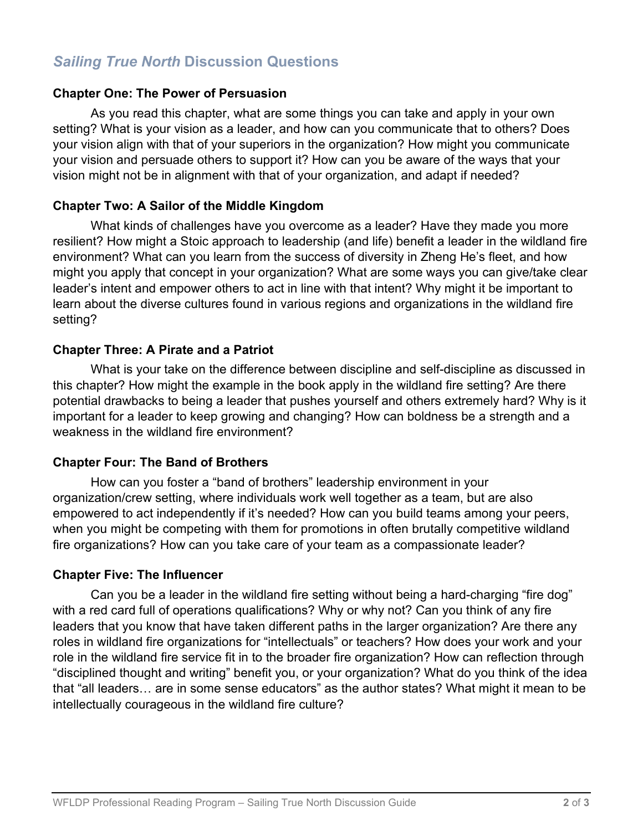# *Sailing True North* **Discussion Questions**

#### **Chapter One: The Power of Persuasion**

As you read this chapter, what are some things you can take and apply in your own setting? What is your vision as a leader, and how can you communicate that to others? Does your vision align with that of your superiors in the organization? How might you communicate your vision and persuade others to support it? How can you be aware of the ways that your vision might not be in alignment with that of your organization, and adapt if needed?

## **Chapter Two: A Sailor of the Middle Kingdom**

What kinds of challenges have you overcome as a leader? Have they made you more resilient? How might a Stoic approach to leadership (and life) benefit a leader in the wildland fire environment? What can you learn from the success of diversity in Zheng He's fleet, and how might you apply that concept in your organization? What are some ways you can give/take clear leader's intent and empower others to act in line with that intent? Why might it be important to learn about the diverse cultures found in various regions and organizations in the wildland fire setting?

## **Chapter Three: A Pirate and a Patriot**

What is your take on the difference between discipline and self-discipline as discussed in this chapter? How might the example in the book apply in the wildland fire setting? Are there potential drawbacks to being a leader that pushes yourself and others extremely hard? Why is it important for a leader to keep growing and changing? How can boldness be a strength and a weakness in the wildland fire environment?

## **Chapter Four: The Band of Brothers**

How can you foster a "band of brothers" leadership environment in your organization/crew setting, where individuals work well together as a team, but are also empowered to act independently if it's needed? How can you build teams among your peers, when you might be competing with them for promotions in often brutally competitive wildland fire organizations? How can you take care of your team as a compassionate leader?

## **Chapter Five: The Influencer**

Can you be a leader in the wildland fire setting without being a hard-charging "fire dog" with a red card full of operations qualifications? Why or why not? Can you think of any fire leaders that you know that have taken different paths in the larger organization? Are there any roles in wildland fire organizations for "intellectuals" or teachers? How does your work and your role in the wildland fire service fit in to the broader fire organization? How can reflection through "disciplined thought and writing" benefit you, or your organization? What do you think of the idea that "all leaders… are in some sense educators" as the author states? What might it mean to be intellectually courageous in the wildland fire culture?